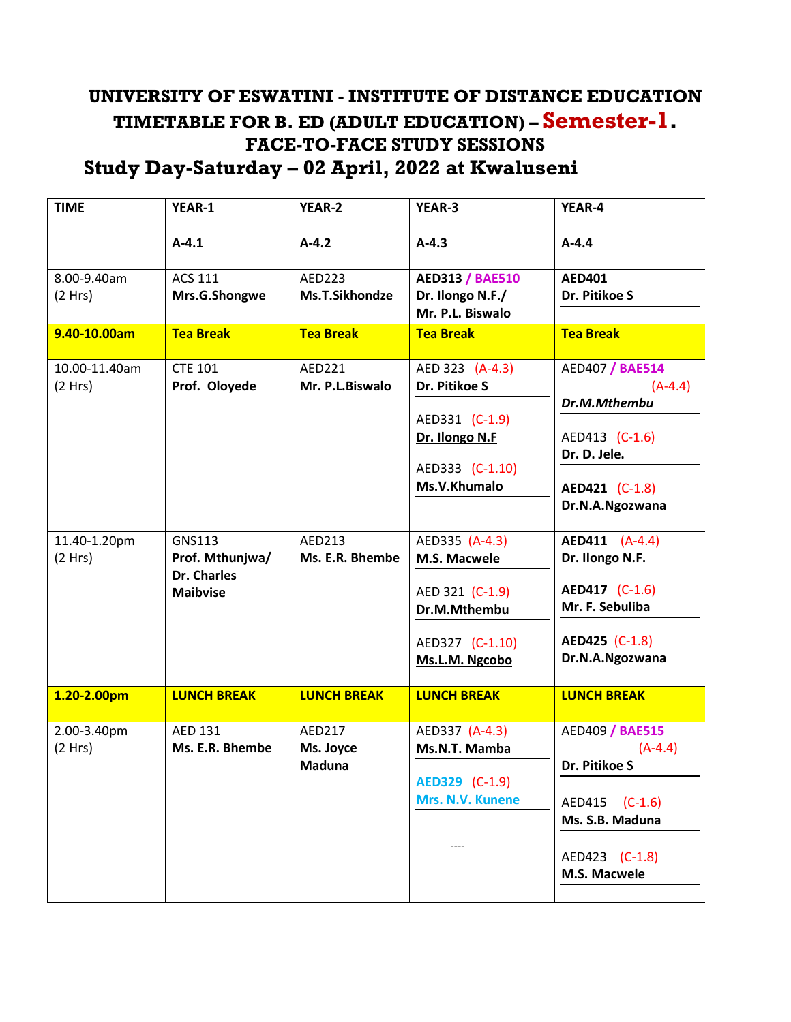## **UNIVERSITY OF ESWATINI - INSTITUTE OF DISTANCE EDUCATION TIMETABLE FOR B. ED (ADULT EDUCATION) – Semester-1. FACE-TO-FACE STUDY SESSIONS Study Day-Saturday – 02 April, 2022 at Kwaluseni**

| <b>TIME</b>             | YEAR-1                           | <b>YEAR-2</b>              | <b>YEAR-3</b>                        | YEAR-4                            |
|-------------------------|----------------------------------|----------------------------|--------------------------------------|-----------------------------------|
|                         | $A-4.1$                          | $A-4.2$                    | $A - 4.3$                            | $A - 4.4$                         |
| 8.00-9.40am             | <b>ACS 111</b>                   | AED223                     | <b>AED313 / BAE510</b>               | <b>AED401</b>                     |
| (2 Hrs)                 | Mrs.G.Shongwe                    | <b>Ms.T.Sikhondze</b>      | Dr. Ilongo N.F./<br>Mr. P.L. Biswalo | Dr. Pitikoe S                     |
| 9.40-10.00am            | <b>Tea Break</b>                 | <b>Tea Break</b>           | <b>Tea Break</b>                     | <b>Tea Break</b>                  |
| 10.00-11.40am           | <b>CTE 101</b>                   | AED221                     | AED 323 (A-4.3)                      | <b>AED407 / BAE514</b>            |
| (2 Hrs)                 | Prof. Oloyede                    | Mr. P.L.Biswalo            | Dr. Pitikoe S                        | $(A-4.4)$<br>Dr.M.Mthembu         |
|                         |                                  |                            | AED331 (C-1.9)                       |                                   |
|                         |                                  |                            | Dr. Ilongo N.F                       | AED413 (C-1.6)<br>Dr. D. Jele.    |
|                         |                                  |                            | AED333 (C-1.10)                      |                                   |
|                         |                                  |                            | Ms.V.Khumalo                         | AED421 (C-1.8)<br>Dr.N.A.Ngozwana |
|                         |                                  |                            |                                      |                                   |
| 11.40-1.20pm<br>(2 Hrs) | <b>GNS113</b><br>Prof. Mthunjwa/ | AED213<br>Ms. E.R. Bhembe  | AED335 (A-4.3)<br>M.S. Macwele       | AED411 (A-4.4)<br>Dr. Ilongo N.F. |
|                         | <b>Dr. Charles</b>               |                            |                                      |                                   |
|                         | <b>Maibvise</b>                  |                            | AED 321 (C-1.9)<br>Dr.M.Mthembu      | AED417 (C-1.6)<br>Mr. F. Sebuliba |
|                         |                                  |                            |                                      |                                   |
|                         |                                  |                            | AED327 (C-1.10)<br>Ms.L.M. Ngcobo    | AED425 (C-1.8)<br>Dr.N.A.Ngozwana |
|                         |                                  |                            | <b>LUNCH BREAK</b>                   |                                   |
| 1.20-2.00pm             | <b>LUNCH BREAK</b>               | <b>LUNCH BREAK</b>         |                                      | <b>LUNCH BREAK</b>                |
| 2.00-3.40pm<br>(2 Hrs)  | AED 131<br>Ms. E.R. Bhembe       | <b>AED217</b><br>Ms. Joyce | AED337 (A-4.3)<br>Ms.N.T. Mamba      | AED409 / BAE515<br>$(A-4.4)$      |
|                         |                                  | <b>Maduna</b>              |                                      | Dr. Pitikoe S                     |
|                         |                                  |                            | AED329 (C-1.9)<br>Mrs. N.V. Kunene   |                                   |
|                         |                                  |                            |                                      | AED415 (C-1.6)<br>Ms. S.B. Maduna |
|                         |                                  |                            |                                      |                                   |
|                         |                                  |                            |                                      | AED423 (C-1.8)<br>M.S. Macwele    |
|                         |                                  |                            |                                      |                                   |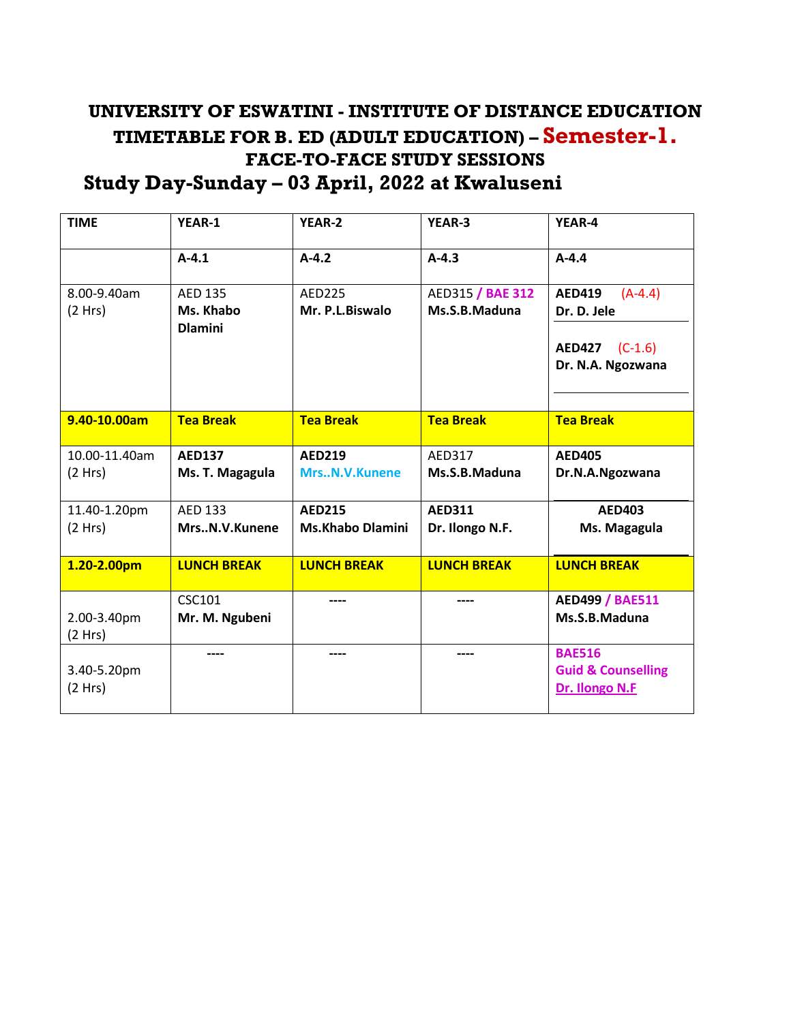## **UNIVERSITY OF ESWATINI - INSTITUTE OF DISTANCE EDUCATION TIMETABLE FOR B. ED (ADULT EDUCATION) – Semester-1. FACE-TO-FACE STUDY SESSIONS Study Day-Sunday – 03 April, 2022 at Kwaluseni**

| <b>TIME</b>              | YEAR-1                                        | YEAR-2                                   | YEAR-3                            | YEAR-4                                                                           |
|--------------------------|-----------------------------------------------|------------------------------------------|-----------------------------------|----------------------------------------------------------------------------------|
|                          | $A-4.1$                                       | $A-4.2$                                  | $A-4.3$                           | $A-4.4$                                                                          |
| 8.00-9.40am<br>(2 Hrs)   | <b>AED 135</b><br>Ms. Khabo<br><b>Dlamini</b> | <b>AED225</b><br>Mr. P.L.Biswalo         | AED315 / BAE 312<br>Ms.S.B.Maduna | <b>AED419</b><br>$(A-4.4)$<br>Dr. D. Jele<br>AED427 (C-1.6)<br>Dr. N.A. Ngozwana |
| 9.40-10.00am             | <b>Tea Break</b>                              | <b>Tea Break</b>                         | <b>Tea Break</b>                  | <b>Tea Break</b>                                                                 |
| 10.00-11.40am<br>(2 Hrs) | <b>AED137</b><br>Ms. T. Magagula              | <b>AED219</b><br>MrsN.V.Kunene           | AED317<br>Ms.S.B.Maduna           | <b>AED405</b><br>Dr.N.A.Ngozwana                                                 |
| 11.40-1.20pm<br>(2 Hrs)  | <b>AED 133</b><br>MrsN.V.Kunene               | <b>AED215</b><br><b>Ms.Khabo Dlamini</b> | <b>AED311</b><br>Dr. Ilongo N.F.  | <b>AED403</b><br>Ms. Magagula                                                    |
| 1.20-2.00pm              | <b>LUNCH BREAK</b>                            | <b>LUNCH BREAK</b>                       | <b>LUNCH BREAK</b>                | <b>LUNCH BREAK</b>                                                               |
| 2.00-3.40pm<br>(2 Hrs)   | <b>CSC101</b><br>Mr. M. Ngubeni               | ----                                     | ----                              | <b>AED499 / BAE511</b><br>Ms.S.B.Maduna                                          |
| 3.40-5.20pm<br>(2 Hrs)   |                                               |                                          | ----                              | <b>BAE516</b><br><b>Guid &amp; Counselling</b><br>Dr. Ilongo N.F                 |